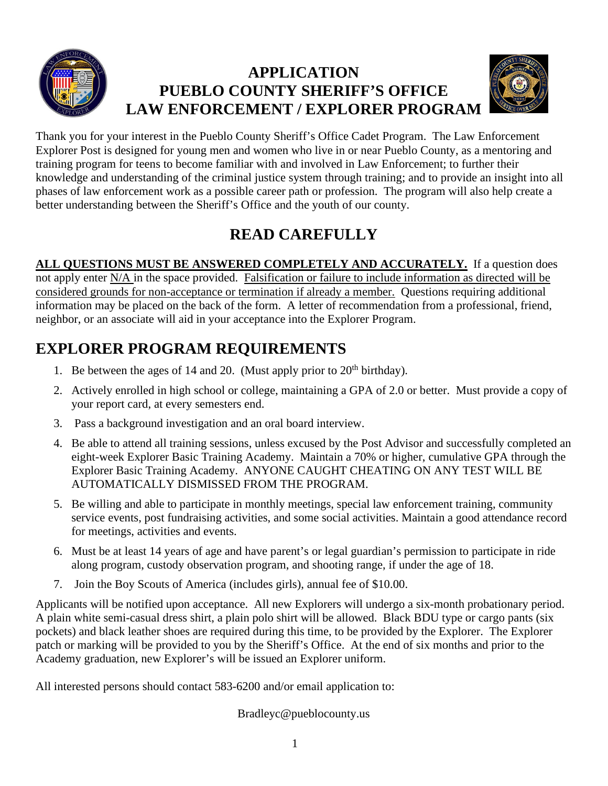

## **APPLICATION PUEBLO COUNTY SHERIFF'S OFFICE LAW ENFORCEMENT / EXPLORER PROGRAM**



Thank you for your interest in the Pueblo County Sheriff's Office Cadet Program. The Law Enforcement Explorer Post is designed for young men and women who live in or near Pueblo County, as a mentoring and training program for teens to become familiar with and involved in Law Enforcement; to further their knowledge and understanding of the criminal justice system through training; and to provide an insight into all phases of law enforcement work as a possible career path or profession. The program will also help create a better understanding between the Sheriff's Office and the youth of our county.

## **READ CAREFULLY**

ALL QUESTIONS MUST BE ANSWERED COMPLETELY AND ACCURATELY. If a question does not apply enter N/A in the space provided. Falsification or failure to include information as directed will be considered grounds for non-acceptance or termination if already a member. Questions requiring additional information may be placed on the back of the form. A letter of recommendation from a professional, friend, neighbor, or an associate will aid in your acceptance into the Explorer Program.

## **EXPLORER PROGRAM REQUIREMENTS**

- 1. Be between the ages of 14 and 20. (Must apply prior to  $20<sup>th</sup>$  birthday).
- 2. Actively enrolled in high school or college, maintaining a GPA of 2.0 or better. Must provide a copy of your report card, at every semesters end.
- 3. Pass a background investigation and an oral board interview.
- 4. Be able to attend all training sessions, unless excused by the Post Advisor and successfully completed an eight-week Explorer Basic Training Academy. Maintain a 70% or higher, cumulative GPA through the Explorer Basic Training Academy. ANYONE CAUGHT CHEATING ON ANY TEST WILL BE AUTOMATICALLY DISMISSED FROM THE PROGRAM.
- 5. Be willing and able to participate in monthly meetings, special law enforcement training, community service events, post fundraising activities, and some social activities. Maintain a good attendance record for meetings, activities and events.
- 6. Must be at least 14 years of age and have parent's or legal guardian's permission to participate in ride along program, custody observation program, and shooting range, if under the age of 18.
- 7. Join the Boy Scouts of America (includes girls), annual fee of \$10.00.

Applicants will be notified upon acceptance. All new Explorers will undergo a six-month probationary period. A plain white semi-casual dress shirt, a plain polo shirt will be allowed. Black BDU type or cargo pants (six pockets) and black leather shoes are required during this time, to be provided by the Explorer. The Explorer patch or marking will be provided to you by the Sheriff's Office. At the end of six months and prior to the Academy graduation, new Explorer's will be issued an Explorer uniform.

All interested persons should contact 583-6200 and/or email application to:

Bradleyc@pueblocounty.us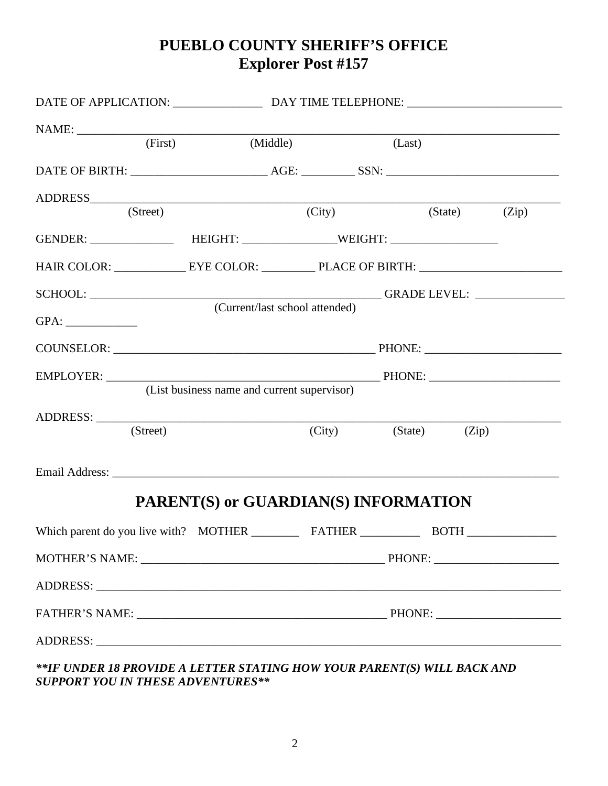## **PUEBLO COUNTY SHERIFF'S OFFICE Explorer Post #157**

|                                                                          | (First)                                     | (Middle)                       |  | (Last)               |  |  |
|--------------------------------------------------------------------------|---------------------------------------------|--------------------------------|--|----------------------|--|--|
|                                                                          |                                             |                                |  |                      |  |  |
| ADDRESS COMMUNICATION CONTINUES.                                         |                                             |                                |  |                      |  |  |
|                                                                          | (Street)                                    |                                |  | (City) (State) (Zip) |  |  |
|                                                                          |                                             |                                |  |                      |  |  |
|                                                                          |                                             |                                |  |                      |  |  |
|                                                                          |                                             |                                |  |                      |  |  |
| GPA:                                                                     |                                             | (Current/last school attended) |  |                      |  |  |
|                                                                          |                                             |                                |  |                      |  |  |
|                                                                          |                                             |                                |  |                      |  |  |
|                                                                          | (List business name and current supervisor) |                                |  |                      |  |  |
|                                                                          |                                             |                                |  |                      |  |  |
|                                                                          | (Street)                                    |                                |  | (City) (State) (Zip) |  |  |
|                                                                          |                                             |                                |  |                      |  |  |
|                                                                          | PARENT(S) or GUARDIAN(S) INFORMATION        |                                |  |                      |  |  |
|                                                                          |                                             |                                |  |                      |  |  |
|                                                                          |                                             |                                |  |                      |  |  |
|                                                                          |                                             |                                |  |                      |  |  |
|                                                                          |                                             |                                |  |                      |  |  |
|                                                                          |                                             |                                |  |                      |  |  |
| ** IF UNDER 18 PROVIDE A LETTER STATING HOW YOUR PARENT(S) WILL BACK AND |                                             |                                |  |                      |  |  |

*SUPPORT YOU IN THESE ADVENTURES\*\**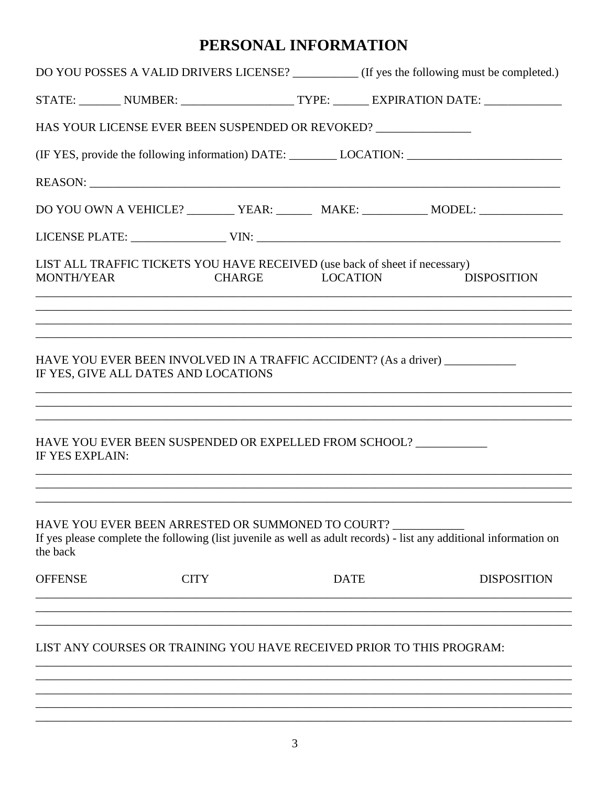## PERSONAL INFORMATION

|                   | DO YOU POSSES A VALID DRIVERS LICENSE? __________ (If yes the following must be completed.)                                                                             |             |                 |                    |
|-------------------|-------------------------------------------------------------------------------------------------------------------------------------------------------------------------|-------------|-----------------|--------------------|
|                   | STATE: _________ NUMBER: ________________________ TYPE: _______ EXPIRATION DATE: __________________                                                                     |             |                 |                    |
|                   | HAS YOUR LICENSE EVER BEEN SUSPENDED OR REVOKED? ________________________________                                                                                       |             |                 |                    |
|                   |                                                                                                                                                                         |             |                 |                    |
|                   |                                                                                                                                                                         |             |                 |                    |
|                   | DO YOU OWN A VEHICLE? __________ YEAR: _________ MAKE: ___________ MODEL: _____________                                                                                 |             |                 |                    |
|                   |                                                                                                                                                                         |             |                 |                    |
| <b>MONTH/YEAR</b> | LIST ALL TRAFFIC TICKETS YOU HAVE RECEIVED (use back of sheet if necessary)<br><b>CHARGE</b>                                                                            |             | <b>LOCATION</b> | <b>DISPOSITION</b> |
|                   | HAVE YOU EVER BEEN INVOLVED IN A TRAFFIC ACCIDENT? (As a driver) ______________<br>IF YES, GIVE ALL DATES AND LOCATIONS                                                 |             |                 |                    |
| IF YES EXPLAIN:   | HAVE YOU EVER BEEN SUSPENDED OR EXPELLED FROM SCHOOL?                                                                                                                   |             |                 |                    |
| the back          | HAVE YOU EVER BEEN ARRESTED OR SUMMONED TO COURT?<br>If yes please complete the following (list juvenile as well as adult records) - list any additional information on |             |                 |                    |
| <b>OFFENSE</b>    | <b>CITY</b>                                                                                                                                                             | <b>DATE</b> |                 | <b>DISPOSITION</b> |
|                   | LIST ANY COURSES OR TRAINING YOU HAVE RECEIVED PRIOR TO THIS PROGRAM:                                                                                                   |             |                 |                    |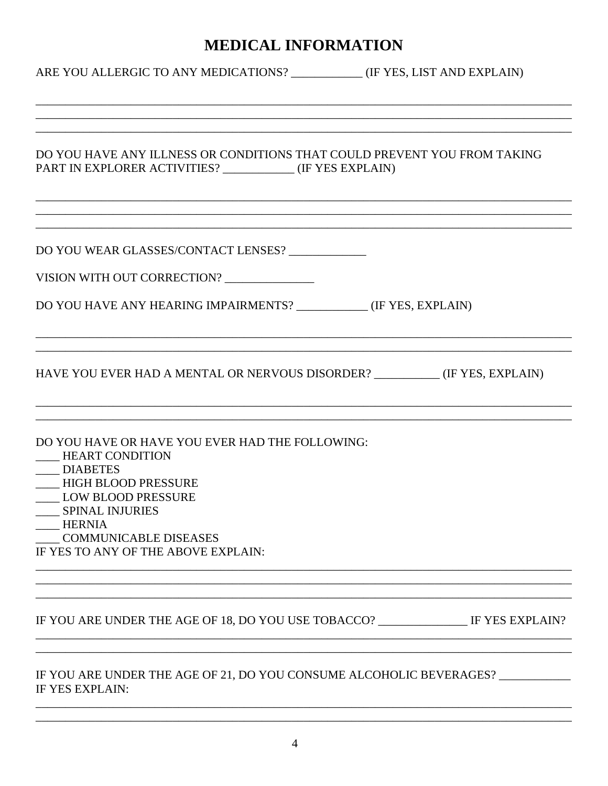## **MEDICAL INFORMATION**

| ARE YOU ALLERGIC TO ANY MEDICATIONS? ______________(IF YES, LIST AND EXPLAIN)                                                                                                                                                                                 |                                                                                                                  |
|---------------------------------------------------------------------------------------------------------------------------------------------------------------------------------------------------------------------------------------------------------------|------------------------------------------------------------------------------------------------------------------|
| DO YOU HAVE ANY ILLNESS OR CONDITIONS THAT COULD PREVENT YOU FROM TAKING<br>PART IN EXPLORER ACTIVITIES? ____________ (IF YES EXPLAIN)                                                                                                                        |                                                                                                                  |
| DO YOU WEAR GLASSES/CONTACT LENSES?<br>VISION WITH OUT CORRECTION?<br>DO YOU HAVE ANY HEARING IMPAIRMENTS? ___________(IF YES, EXPLAIN)                                                                                                                       |                                                                                                                  |
| HAVE YOU EVER HAD A MENTAL OR NERVOUS DISORDER? ___________(IF YES, EXPLAIN)                                                                                                                                                                                  |                                                                                                                  |
| DO YOU HAVE OR HAVE YOU EVER HAD THE FOLLOWING:<br>HEART CONDITION<br>___ DIABETES<br>____ HIGH BLOOD PRESSURE<br><b>LOW BLOOD PRESSURE</b><br><b>SPINAL INJURIES</b><br><b>HERNIA</b><br><b>COMMUNICABLE DISEASES</b><br>IF YES TO ANY OF THE ABOVE EXPLAIN: | and the control of the control of the control of the control of the control of the control of the control of the |
| IF YOU ARE UNDER THE AGE OF 18, DO YOU USE TOBACCO? ________________ IF YES EXPLAIN?                                                                                                                                                                          |                                                                                                                  |
| IF YOU ARE UNDER THE AGE OF 21, DO YOU CONSUME ALCOHOLIC BEVERAGES?<br>IF YES EXPLAIN:                                                                                                                                                                        |                                                                                                                  |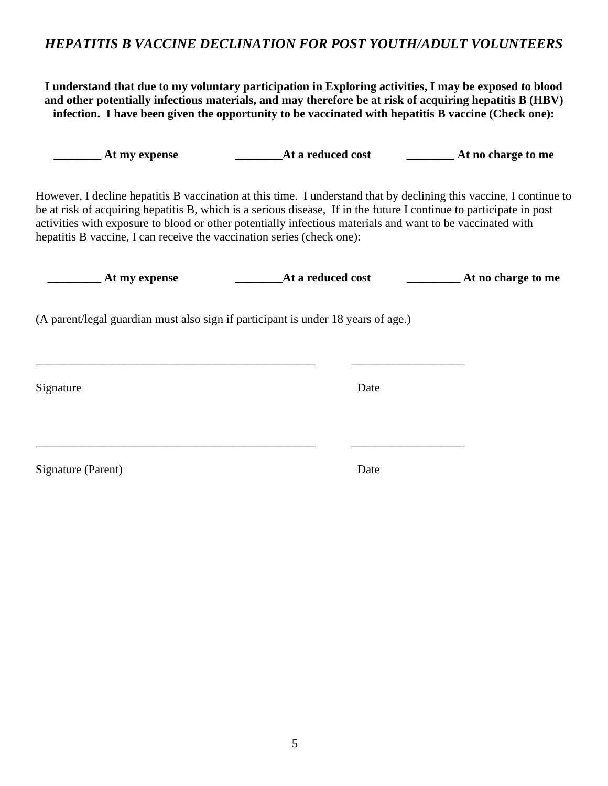#### *HEPATITIS B VACCINE DECLINATION FOR POST YOUTH/ADULT VOLUNTEERS*

**I understand that due to my voluntary participation in Exploring activities, I may be exposed to blood and other potentially infectious materials, and may therefore be at risk of acquiring hepatitis B (HBV) infection. I have been given the opportunity to be vaccinated with hepatitis B vaccine (Check one):**

| _ At my expense                                                                                                                                                                                                                                                                                                                                                                                                                    |                                     |  |
|------------------------------------------------------------------------------------------------------------------------------------------------------------------------------------------------------------------------------------------------------------------------------------------------------------------------------------------------------------------------------------------------------------------------------------|-------------------------------------|--|
| However, I decline hepatitis B vaccination at this time. I understand that by declining this vaccine, I continue to<br>be at risk of acquiring hepatitis B, which is a serious disease, If in the future I continue to participate in post<br>activities with exposure to blood or other potentially infectious materials and want to be vaccinated with<br>hepatitis B vaccine, I can receive the vaccination series (check one): |                                     |  |
| $\equiv$ At my expense                                                                                                                                                                                                                                                                                                                                                                                                             | <b>Example 21 At a reduced cost</b> |  |
| (A parent/legal guardian must also sign if participant is under 18 years of age.)                                                                                                                                                                                                                                                                                                                                                  |                                     |  |
| Signature                                                                                                                                                                                                                                                                                                                                                                                                                          | Date                                |  |
| Signature (Parent)                                                                                                                                                                                                                                                                                                                                                                                                                 |                                     |  |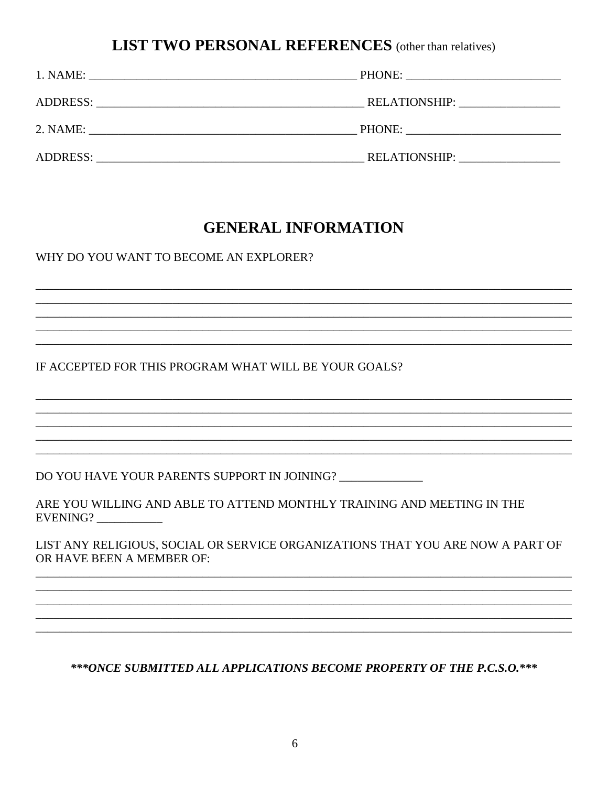### **LIST TWO PERSONAL REFERENCES** (other than relatives)

| 1. NAME:        |                                   |
|-----------------|-----------------------------------|
|                 | RELATIONSHIP: ___________________ |
| 2. NAME:        | PHONE:                            |
| <b>ADDRESS:</b> | <b>RELATIONSHIP:</b>              |

### **GENERAL INFORMATION**

WHY DO YOU WANT TO BECOME AN EXPLORER?

IF ACCEPTED FOR THIS PROGRAM WHAT WILL BE YOUR GOALS?

DO YOU HAVE YOUR PARENTS SUPPORT IN JOINING?

ARE YOU WILLING AND ABLE TO ATTEND MONTHLY TRAINING AND MEETING IN THE EVENING?

LIST ANY RELIGIOUS, SOCIAL OR SERVICE ORGANIZATIONS THAT YOU ARE NOW A PART OF OR HAVE BEEN A MEMBER OF:

\*\*\* ONCE SUBMITTED ALL APPLICATIONS BECOME PROPERTY OF THE P.C.S.O.\*\*\*